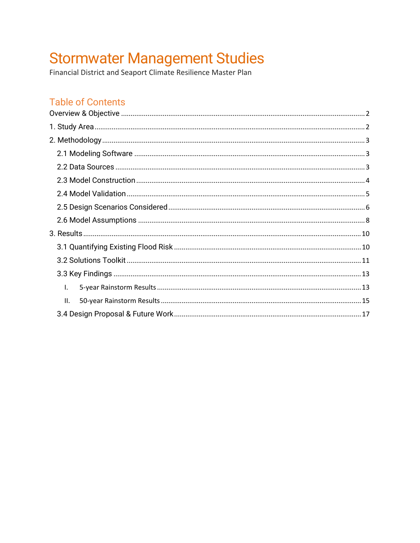# Stormwater Management Studies<br>Financial District and Seaport Climate Resilience Master Plan

# **Table of Contents**

| Ι.  |  |
|-----|--|
| II. |  |
|     |  |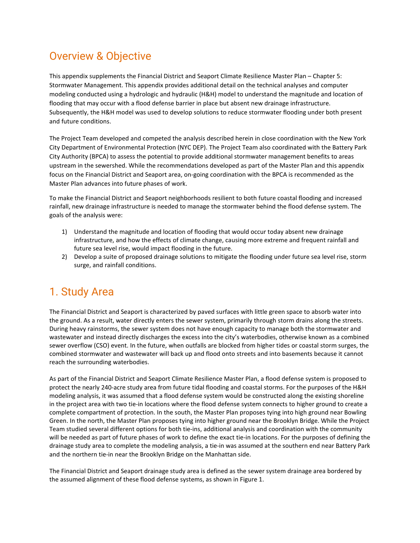# <span id="page-1-0"></span>Overview & Objective

This appendix supplements the Financial District and Seaport Climate Resilience Master Plan – Chapter 5: Stormwater Management. This appendix provides additional detail on the technical analyses and computer modeling conducted using a hydrologic and hydraulic (H&H) model to understand the magnitude and location of flooding that may occur with a flood defense barrier in place but absent new drainage infrastructure. Subsequently, the H&H model was used to develop solutions to reduce stormwater flooding under both present and future conditions.

The Project Team developed and competed the analysis described herein in close coordination with the New York City Department of Environmental Protection (NYC DEP). The Project Team also coordinated with the Battery Park City Authority (BPCA) to assess the potential to provide additional stormwater management benefits to areas upstream in the sewershed. While the recommendations developed as part of the Master Plan and this appendix focus on the Financial District and Seaport area, on-going coordination with the BPCA is recommended as the Master Plan advances into future phases of work.

To make the Financial District and Seaport neighborhoods resilient to both future coastal flooding and increased rainfall, new drainage infrastructure is needed to manage the stormwater behind the flood defense system. The goals of the analysis were:

- 1) Understand the magnitude and location of flooding that would occur today absent new drainage infrastructure, and how the effects of climate change, causing more extreme and frequent rainfall and future sea level rise, would impact flooding in the future.
- 2) Develop a suite of proposed drainage solutions to mitigate the flooding under future sea level rise, storm surge, and rainfall conditions.

# <span id="page-1-1"></span>1. Study Area

The Financial District and Seaport is characterized by paved surfaces with little green space to absorb water into the ground. As a result, water directly enters the sewer system, primarily through storm drains along the streets. During heavy rainstorms, the sewer system does not have enough capacity to manage both the stormwater and wastewater and instead directly discharges the excess into the city's waterbodies, otherwise known as a combined sewer overflow (CSO) event. In the future, when outfalls are blocked from higher tides or coastal storm surges, the combined stormwater and wastewater will back up and flood onto streets and into basements because it cannot reach the surrounding waterbodies.

As part of the Financial District and Seaport Climate Resilience Master Plan, a flood defense system is proposed to protect the nearly 240-acre study area from future tidal flooding and coastal storms. For the purposes of the H&H modeling analysis, it was assumed that a flood defense system would be constructed along the existing shoreline in the project area with two tie-in locations where the flood defense system connects to higher ground to create a complete compartment of protection. In the south, the Master Plan proposes tying into high ground near Bowling Green. In the north, the Master Plan proposes tying into higher ground near the Brooklyn Bridge. While the Project Team studied several different options for both tie-ins, additional analysis and coordination with the community will be needed as part of future phases of work to define the exact tie-in locations. For the purposes of defining the drainage study area to complete the modeling analysis, a tie-in was assumed at the southern end near Battery Park and the northern tie-in near the Brooklyn Bridge on the Manhattan side.

The Financial District and Seaport drainage study area is defined as the sewer system drainage area bordered by the assumed alignment of these flood defense systems, as shown in [Figure 1.](#page-2-3)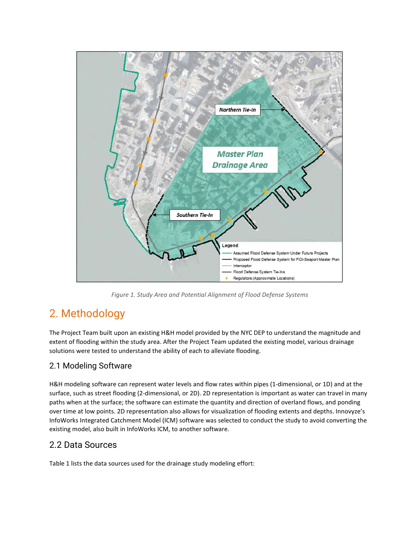

*Figure 1. Study Area and Potential Alignment of Flood Defense Systems* 

# <span id="page-2-3"></span><span id="page-2-0"></span>2. Methodology

The Project Team built upon an existing H&H model provided by the NYC DEP to understand the magnitude and extent of flooding within the study area. After the Project Team updated the existing model, various drainage solutions were tested to understand the ability of each to alleviate flooding.

# <span id="page-2-1"></span>2.1 Modeling Software

H&H modeling software can represent water levels and flow rates within pipes (1-dimensional, or 1D) and at the surface, such as street flooding (2-dimensional, or 2D). 2D representation is important as water can travel in many paths when at the surface; the software can estimate the quantity and direction of overland flows, and ponding over time at low points. 2D representation also allows for visualization of flooding extents and depths. Innovyze's InfoWorks Integrated Catchment Model (ICM) software was selected to conduct the study to avoid converting the existing model, also built in InfoWorks ICM, to another software.

# <span id="page-2-2"></span>2.2 Data Sources

[Table 1 l](#page-3-1)ists the data sources used for the drainage study modeling effort: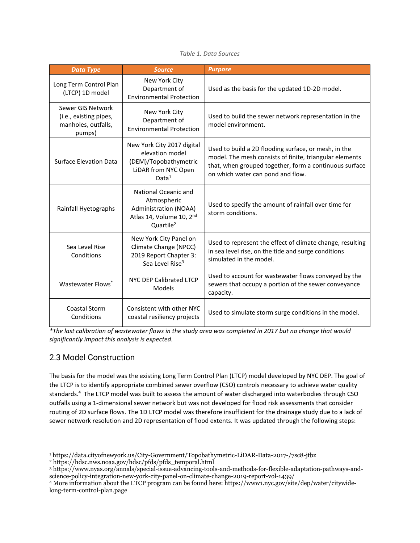#### *Table 1. Data Sources*

<span id="page-3-1"></span>

| <b>Data Type</b>                                                             | <b>Source</b>                                                                                                      | <b>Purpose</b>                                                                                                                                                                                                 |  |
|------------------------------------------------------------------------------|--------------------------------------------------------------------------------------------------------------------|----------------------------------------------------------------------------------------------------------------------------------------------------------------------------------------------------------------|--|
| Long Term Control Plan<br>(LTCP) 1D model                                    | New York City<br>Department of<br><b>Environmental Protection</b>                                                  | Used as the basis for the updated 1D-2D model.                                                                                                                                                                 |  |
| Sewer GIS Network<br>(i.e., existing pipes,<br>manholes, outfalls,<br>pumps) | New York City<br>Department of<br><b>Environmental Protection</b>                                                  | Used to build the sewer network representation in the<br>model environment.                                                                                                                                    |  |
| <b>Surface Elevation Data</b>                                                | New York City 2017 digital<br>elevation model<br>(DEM)/Topobathymetric<br>LiDAR from NYC Open<br>Data <sup>1</sup> | Used to build a 2D flooding surface, or mesh, in the<br>model. The mesh consists of finite, triangular elements<br>that, when grouped together, form a continuous surface<br>on which water can pond and flow. |  |
| Rainfall Hyetographs                                                         | National Oceanic and<br>Atmospheric<br>Administration (NOAA)<br>Atlas 14, Volume 10, 2nd<br>Quartile <sup>2</sup>  | Used to specify the amount of rainfall over time for<br>storm conditions.                                                                                                                                      |  |
| Sea Level Rise<br>Conditions                                                 | New York City Panel on<br>Climate Change (NPCC)<br>2019 Report Chapter 3:<br>Sea Level Rise <sup>3</sup>           | Used to represent the effect of climate change, resulting<br>in sea level rise, on the tide and surge conditions<br>simulated in the model.                                                                    |  |
| NYC DEP Calibrated LTCP<br>Wastewater Flows*<br>Models                       |                                                                                                                    | Used to account for wastewater flows conveyed by the<br>sewers that occupy a portion of the sewer conveyance<br>capacity.                                                                                      |  |
| Coastal Storm<br>Conditions                                                  | Consistent with other NYC<br>coastal resiliency projects                                                           | Used to simulate storm surge conditions in the model.                                                                                                                                                          |  |

*\*The last calibration of wastewater flows in the study area was completed in 2017 but no change that would significantly impact this analysis is expected.* 

# <span id="page-3-0"></span>2.3 Model Construction

The basis for the model was the existing Long Term Control Plan (LTCP) model developed by NYC DEP. The goal of the LTCP is to identify appropriate combined sewer overflow (CSO) controls necessary to achieve water quality standards.<sup>4</sup> The LTCP model was built to assess the amount of water discharged into waterbodies through CSO outfalls using a 1-dimensional sewer network but was not developed for flood risk assessments that consider routing of 2D surface flows. The 1D LTCP model was therefore insufficient for the drainage study due to a lack of sewer network resolution and 2D representation of flood extents. It was updated through the following steps:

<sup>1</sup> https://data.cityofnewyork.us/City-Government/Topobathymetric-LiDAR-Data-2017-/7sc8-jtbz

<sup>2</sup> https://hdsc.nws.noaa.gov/hdsc/pfds/pfds\_temporal.html

<sup>3</sup> https://www.nyas.org/annals/special-issue-advancing-tools-and-methods-for-flexible-adaptation-pathways-andscience-policy-integration-new-york-city-panel-on-climate-change-2019-report-vol-1439/

<sup>4</sup> More information about the LTCP program can be found here[: https://www1.nyc.gov/site/dep/water/citywide](https://www1.nyc.gov/site/dep/water/citywide-long-term-control-plan.page)[long-term-control-plan.page](https://www1.nyc.gov/site/dep/water/citywide-long-term-control-plan.page)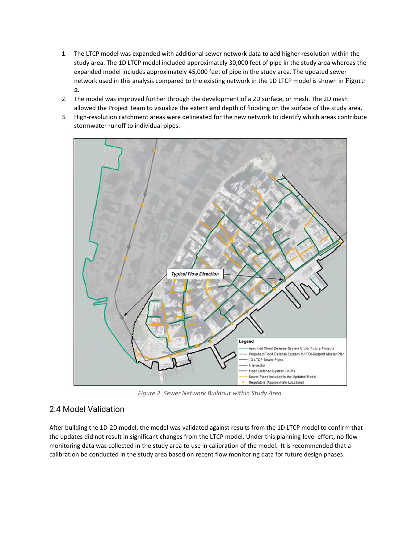- 1. The LTCP model was expanded with additional sewer network data to add higher resolution within the study area. The 1D LTCP model included approximately 30,000 feet of pipe in the study area whereas the expanded model includes approximately 45,000 feet of pipe in the study area. The updated sewer network used in this analysis compared to the existing network in the 1D LTCP model is shown in [Figure](#page-4-1)  [2](#page-4-1).
- 2. The model was improved further through the development of a 2D surface, or mesh. The 2D mesh allowed the Project Team to visualize the extent and depth of flooding on the surface of the study area.
- 3. High-resolution catchment areas were delineated for the new network to identify which areas contribute stormwater runoff to individual pipes.



*Figure 2. Sewer Network Buildout within Study Area* 

# <span id="page-4-1"></span><span id="page-4-0"></span>2.4 Model Validation

After building the 1D-2D model, the model was validated against results from the 1D LTCP model to confirm that the updates did not result in significant changes from the LTCP model. Under this planning-level effort, no flow monitoring data was collected in the study area to use in calibration of the model. It is recommended that a calibration be conducted in the study area based on recent flow monitoring data for future design phases.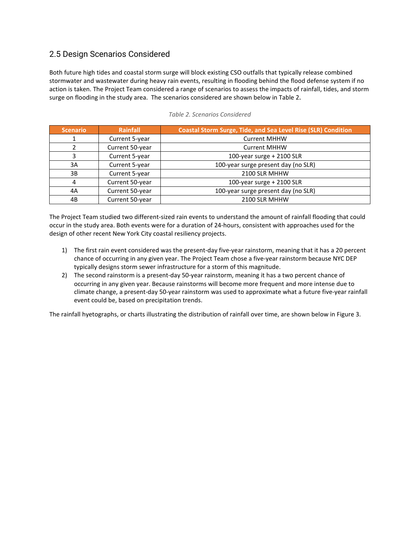## <span id="page-5-0"></span>2.5 Design Scenarios Considered

Both future high tides and coastal storm surge will block existing CSO outfalls that typically release combined stormwater and wastewater during heavy rain events, resulting in flooding behind the flood defense system if no action is taken. The Project Team considered a range of scenarios to assess the impacts of rainfall, tides, and storm surge on flooding in the study area. The scenarios considered are shown below in [Table 2](#page-5-1).

<span id="page-5-1"></span>

| <b>Scenario</b> | Rainfall        | <b>Coastal Storm Surge, Tide, and Sea Level Rise (SLR) Condition</b> |  |
|-----------------|-----------------|----------------------------------------------------------------------|--|
|                 | Current 5-year  | <b>Current MHHW</b>                                                  |  |
|                 | Current 50-year | <b>Current MHHW</b>                                                  |  |
|                 | Current 5-year  | 100-year surge + 2100 SLR                                            |  |
| 3A              | Current 5-year  | 100-year surge present day (no SLR)                                  |  |
| 3B              | Current 5-year  | 2100 SLR MHHW                                                        |  |
| 4               | Current 50-year | 100-year surge + 2100 SLR                                            |  |
| 4A              | Current 50-year | 100-year surge present day (no SLR)                                  |  |
| 4B              | Current 50-year | 2100 SLR MHHW                                                        |  |

|  |  |  | Table 2. Scenarios Considered |
|--|--|--|-------------------------------|
|--|--|--|-------------------------------|

The Project Team studied two different-sized rain events to understand the amount of rainfall flooding that could occur in the study area. Both events were for a duration of 24-hours, consistent with approaches used for the design of other recent New York City coastal resiliency projects.

- 1) The first rain event considered was the present-day five-year rainstorm, meaning that it has a 20 percent chance of occurring in any given year. The Project Team chose a five-year rainstorm because NYC DEP typically designs storm sewer infrastructure for a storm of this magnitude.
- 2) The second rainstorm is a present-day 50-year rainstorm, meaning it has a two percent chance of occurring in any given year. Because rainstorms will become more frequent and more intense due to climate change, a present-day 50-year rainstorm was used to approximate what a future five-year rainfall event could be, based on precipitation trends.

The rainfall hyetographs, or charts illustrating the distribution of rainfall over time, are shown below in [Figure 3.](#page-6-0)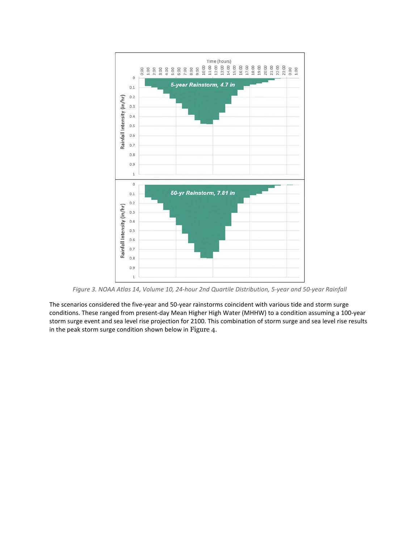

*Figure 3. NOAA Atlas 14, Volume 10, 24-hour 2nd Quartile Distribution, 5-year and 50-year Rainfall* 

<span id="page-6-0"></span>The scenarios considered the five-year and 50-year rainstorms coincident with various tide and storm surge conditions. These ranged from present-day Mean Higher High Water (MHHW) to a condition assuming a 100-year storm surge event and sea level rise projection for 2100. This combination of storm surge and sea level rise results in the peak storm surge condition shown below in [Figure 4](#page-7-1).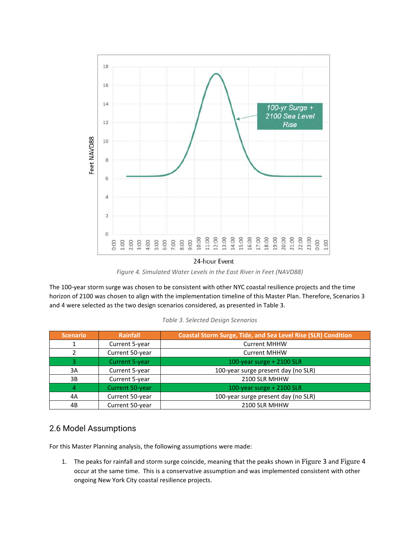

<sup>24-</sup>hour Event

<span id="page-7-1"></span>The 100-year storm surge was chosen to be consistent with other NYC coastal resilience projects and the time horizon of 2100 was chosen to align with the implementation timeline of this Master Plan. Therefore, Scenarios 3 and 4 were selected as the two design scenarios considered, as presented in [Table 3.](#page-7-2)

|  | Table 3. Selected Design Scenarios |
|--|------------------------------------|
|--|------------------------------------|

<span id="page-7-2"></span>

| <b>Scenario</b> | <b>Rainfall</b>        | <b>Coastal Storm Surge, Tide, and Sea Level Rise (SLR) Condition</b> |  |
|-----------------|------------------------|----------------------------------------------------------------------|--|
|                 | Current 5-year         | <b>Current MHHW</b>                                                  |  |
|                 | Current 50-year        | <b>Current MHHW</b>                                                  |  |
|                 | <b>Current 5-year</b>  | 100-year surge + 2100 SLR                                            |  |
| 3A              | Current 5-year         | 100-year surge present day (no SLR)                                  |  |
| 3B              | Current 5-year         | 2100 SLR MHHW                                                        |  |
|                 | <b>Current 50-year</b> | 100-year surge + 2100 SLR                                            |  |
| 4A              | Current 50-year        | 100-year surge present day (no SLR)                                  |  |
| 4B              | Current 50-year        | 2100 SLR MHHW                                                        |  |

## <span id="page-7-0"></span>2.6 Model Assumptions

For this Master Planning analysis, the following assumptions were made:

1. The peaks for rainfall and storm surge coincide, meaning that the peaks shown in [Figure](#page-6-0) [3](#page-6-0) and [Figure](#page-7-1) [4](#page-7-1) occur at the same time. This is a conservative assumption and was implemented consistent with other ongoing New York City coastal resilience projects.

*Figure 4. Simulated Water Levels in the East River in Feet (NAVD88)*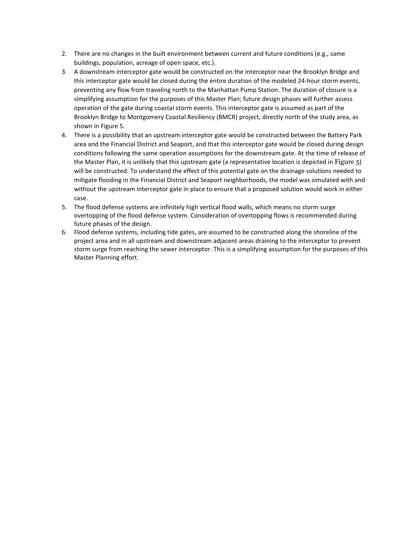- 2. There are no changes in the built environment between current and future conditions (e.g., same buildings, population, acreage of open space, etc.).
- 3. A downstream interceptor gate would be constructed on the interceptor near the Brooklyn Bridge and this interceptor gate would be closed during the entire duration of the modeled 24-hour storm events, preventing any flow from traveling north to the Manhattan Pump Station. The duration of closure is a simplifying assumption for the purposes of this Master Plan; future design phases will further assess operation of the gate during coastal storm events. This interceptor gate is assumed as part of the Brooklyn Bridge to Montgomery Coastal Resiliency (BMCR) project, directly north of the study area, as shown in [Figure 5.](#page-9-2)
- 4. There is a possibility that an upstream interceptor gate would be constructed between the Battery Park area and the Financial District and Seaport, and that this interceptor gate would be closed during design conditions following the same operation assumptions for the downstream gate. At the time of release of the Master Plan, it is unlikely that this upstream gate (a representative location is depicted in [Figure 5](#page-9-2)) will be constructed. To understand the effect of this potential gate on the drainage solutions needed to mitigate flooding in the Financial District and Seaport neighborhoods, the model was simulated with and without the upstream interceptor gate in place to ensure that a proposed solution would work in either case.
- 5. The flood defense systems are infinitely high vertical flood walls, which means no storm surge overtopping of the flood defense system. Consideration of overtopping flows is recommended during future phases of the design.
- 6. Flood defense systems, including tide gates, are assumed to be constructed along the shoreline of the project area and in all upstream and downstream adjacent areas draining to the interceptor to prevent storm surge from reaching the sewer interceptor. This is a simplifying assumption for the purposes of this Master Planning effort.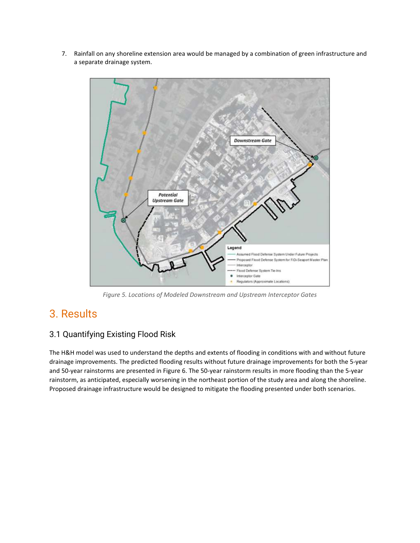7. Rainfall on any shoreline extension area would be managed by a combination of green infrastructure and a separate drainage system.



*Figure 5. Locations of Modeled Downstream and Upstream Interceptor Gates* 

# <span id="page-9-2"></span><span id="page-9-0"></span>3. Results

# <span id="page-9-1"></span>3.1 Quantifying Existing Flood Risk

The H&H model was used to understand the depths and extents of flooding in conditions with and without future drainage improvements. The predicted flooding results without future drainage improvements for both the 5-year and 50-year rainstorms are presented in [Figure 6.](#page-10-1) The 50-year rainstorm results in more flooding than the 5-year rainstorm, as anticipated, especially worsening in the northeast portion of the study area and along the shoreline. Proposed drainage infrastructure would be designed to mitigate the flooding presented under both scenarios.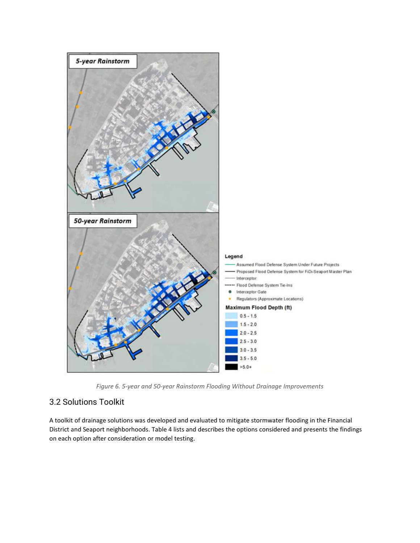

*Figure 6. 5-year and 50-year Rainstorm Flooding Without Drainage Improvements* 

# <span id="page-10-1"></span><span id="page-10-0"></span>3.2 Solutions Toolkit

A toolkit of drainage solutions was developed and evaluated to mitigate stormwater flooding in the Financial District and Seaport neighborhoods. [Table 4 l](#page-11-0)ists and describes the options considered and presents the findings on each option after consideration or model testing.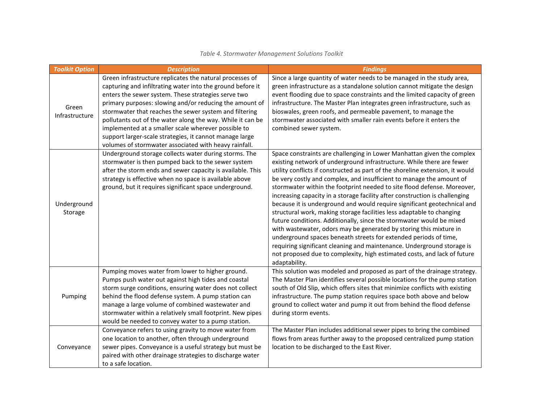<span id="page-11-0"></span>

| <b>Toolkit Option</b>   | <b>Description</b>                                                                                                                                                                                                                                                                                                                                                                                                                                                                                                                          | <b>Findings</b>                                                                                                                                                                                                                                                                                                                                                                                                                                                                                                                                                                                                                                                                                                                                                                                                                                                                                                                                                                                                  |
|-------------------------|---------------------------------------------------------------------------------------------------------------------------------------------------------------------------------------------------------------------------------------------------------------------------------------------------------------------------------------------------------------------------------------------------------------------------------------------------------------------------------------------------------------------------------------------|------------------------------------------------------------------------------------------------------------------------------------------------------------------------------------------------------------------------------------------------------------------------------------------------------------------------------------------------------------------------------------------------------------------------------------------------------------------------------------------------------------------------------------------------------------------------------------------------------------------------------------------------------------------------------------------------------------------------------------------------------------------------------------------------------------------------------------------------------------------------------------------------------------------------------------------------------------------------------------------------------------------|
| Green<br>Infrastructure | Green infrastructure replicates the natural processes of<br>capturing and infiltrating water into the ground before it<br>enters the sewer system. These strategies serve two<br>primary purposes: slowing and/or reducing the amount of<br>stormwater that reaches the sewer system and filtering<br>pollutants out of the water along the way. While it can be<br>implemented at a smaller scale wherever possible to<br>support larger-scale strategies, it cannot manage large<br>volumes of stormwater associated with heavy rainfall. | Since a large quantity of water needs to be managed in the study area,<br>green infrastructure as a standalone solution cannot mitigate the design<br>event flooding due to space constraints and the limited capacity of green<br>infrastructure. The Master Plan integrates green infrastructure, such as<br>bioswales, green roofs, and permeable pavement, to manage the<br>stormwater associated with smaller rain events before it enters the<br>combined sewer system.                                                                                                                                                                                                                                                                                                                                                                                                                                                                                                                                    |
| Underground<br>Storage  | Underground storage collects water during storms. The<br>stormwater is then pumped back to the sewer system<br>after the storm ends and sewer capacity is available. This<br>strategy is effective when no space is available above<br>ground, but it requires significant space underground.                                                                                                                                                                                                                                               | Space constraints are challenging in Lower Manhattan given the complex<br>existing network of underground infrastructure. While there are fewer<br>utility conflicts if constructed as part of the shoreline extension, it would<br>be very costly and complex, and insufficient to manage the amount of<br>stormwater within the footprint needed to site flood defense. Moreover,<br>increasing capacity in a storage facility after construction is challenging<br>because it is underground and would require significant geotechnical and<br>structural work, making storage facilities less adaptable to changing<br>future conditions. Additionally, since the stormwater would be mixed<br>with wastewater, odors may be generated by storing this mixture in<br>underground spaces beneath streets for extended periods of time,<br>requiring significant cleaning and maintenance. Underground storage is<br>not proposed due to complexity, high estimated costs, and lack of future<br>adaptability. |
| Pumping                 | Pumping moves water from lower to higher ground.<br>Pumps push water out against high tides and coastal<br>storm surge conditions, ensuring water does not collect<br>behind the flood defense system. A pump station can<br>manage a large volume of combined wastewater and<br>stormwater within a relatively small footprint. New pipes<br>would be needed to convey water to a pump station.                                                                                                                                            | This solution was modeled and proposed as part of the drainage strategy.<br>The Master Plan identifies several possible locations for the pump station<br>south of Old Slip, which offers sites that minimize conflicts with existing<br>infrastructure. The pump station requires space both above and below<br>ground to collect water and pump it out from behind the flood defense<br>during storm events.                                                                                                                                                                                                                                                                                                                                                                                                                                                                                                                                                                                                   |
| Conveyance              | Conveyance refers to using gravity to move water from<br>one location to another, often through underground<br>sewer pipes. Conveyance is a useful strategy but must be<br>paired with other drainage strategies to discharge water<br>to a safe location.                                                                                                                                                                                                                                                                                  | The Master Plan includes additional sewer pipes to bring the combined<br>flows from areas further away to the proposed centralized pump station<br>location to be discharged to the East River.                                                                                                                                                                                                                                                                                                                                                                                                                                                                                                                                                                                                                                                                                                                                                                                                                  |

#### *Table 4. Stormwater Management Solutions Toolkit*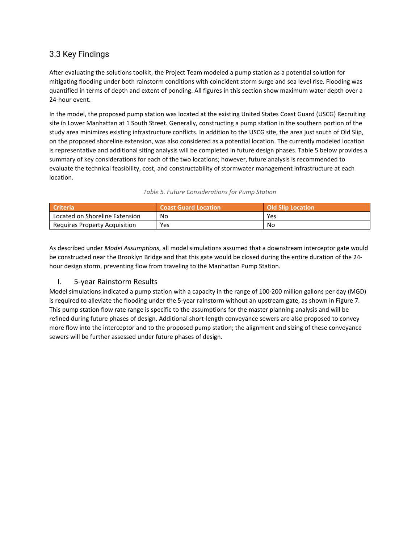## <span id="page-12-0"></span>3.3 Key Findings

After evaluating the solutions toolkit, the Project Team modeled a pump station as a potential solution for mitigating flooding under both rainstorm conditions with coincident storm surge and sea level rise. Flooding was quantified in terms of depth and extent of ponding. All figures in this section show maximum water depth over a 24-hour event.

In the model, the proposed pump station was located at the existing United States Coast Guard (USCG) Recruiting site in Lower Manhattan at 1 South Street. Generally, constructing a pump station in the southern portion of the study area minimizes existing infrastructure conflicts. In addition to the USCG site, the area just south of Old Slip, on the proposed shoreline extension, was also considered as a potential location. The currently modeled location is representative and additional siting analysis will be completed in future design phases[. Table 5](#page-12-2) below provides a summary of key considerations for each of the two locations; however, future analysis is recommended to evaluate the technical feasibility, cost, and constructability of stormwater management infrastructure at each location.

#### *Table 5. Future Considerations for Pump Station*

<span id="page-12-2"></span>

| Criteria                       | <b>Coast Guard Location</b> | <b>Old Slip Location</b> |
|--------------------------------|-----------------------------|--------------------------|
| Located on Shoreline Extension | No                          | Yes                      |
| Requires Property Acquisition  | Yes                         | No                       |

As described under *Model Assumptions*, all model simulations assumed that a downstream interceptor gate would be constructed near the Brooklyn Bridge and that this gate would be closed during the entire duration of the 24 hour design storm, preventing flow from traveling to the Manhattan Pump Station.

#### <span id="page-12-1"></span>I. 5-year Rainstorm Results

Model simulations indicated a pump station with a capacity in the range of 100-200 million gallons per day (MGD) is required to alleviate the flooding under the 5-year rainstorm without an upstream gate, as shown i[n Figure 7.](#page-13-0) This pump station flow rate range is specific to the assumptions for the master planning analysis and will be refined during future phases of design. Additional short-length conveyance sewers are also proposed to convey more flow into the interceptor and to the proposed pump station; the alignment and sizing of these conveyance sewers will be further assessed under future phases of design.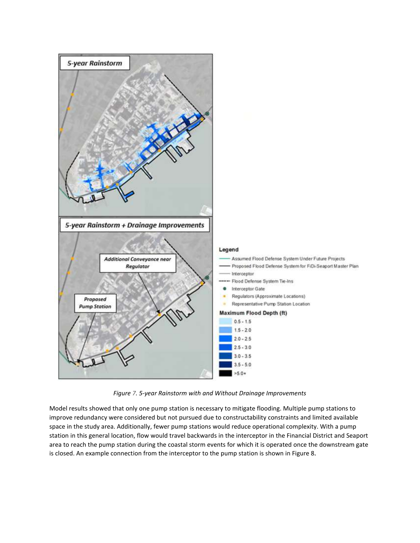

*Figure 7. 5-year Rainstorm with and Without Drainage Improvements* 

<span id="page-13-0"></span>Model results showed that only one pump station is necessary to mitigate flooding. Multiple pump stations to improve redundancy were considered but not pursued due to constructability constraints and limited available space in the study area. Additionally, fewer pump stations would reduce operational complexity. With a pump station in this general location, flow would travel backwards in the interceptor in the Financial District and Seaport area to reach the pump station during the coastal storm events for which it is operated once the downstream gate is closed. An example connection from the interceptor to the pump station is shown i[n Figure 8](#page-14-1).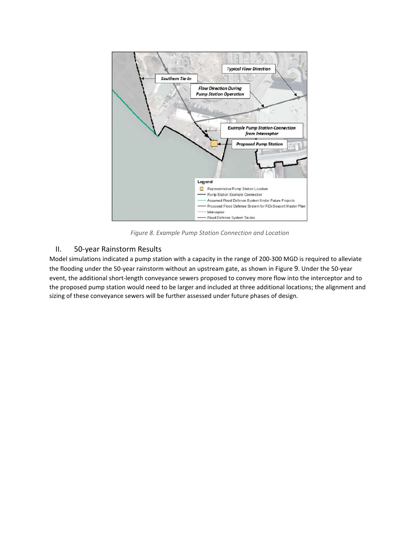

*Figure 8. Example Pump Station Connection and Location* 

### <span id="page-14-1"></span><span id="page-14-0"></span>II. 50-year Rainstorm Results

Model simulations indicated a pump station with a capacity in the range of 200-300 MGD is required to alleviate the flooding under the 50-year rainstorm without an upstream gate, as shown i[n Figure](#page-15-0) [9](#page-15-0). Under the 50-year event, the additional short-length conveyance sewers proposed to convey more flow into the interceptor and to the proposed pump station would need to be larger and included at three additional locations; the alignment and sizing of these conveyance sewers will be further assessed under future phases of design.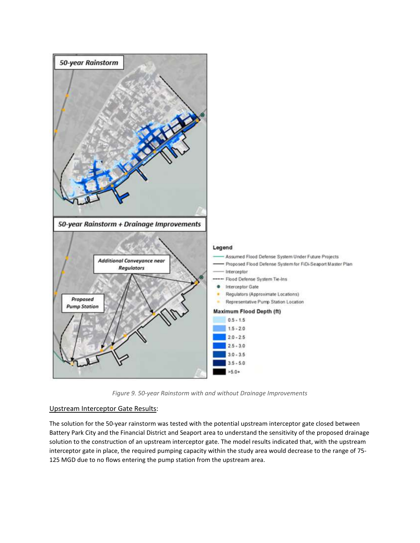

*Figure 9. 50-year Rainstorm with and without Drainage Improvements* 

#### <span id="page-15-0"></span>Upstream Interceptor Gate Results:

The solution for the 50-year rainstorm was tested with the potential upstream interceptor gate closed between Battery Park City and the Financial District and Seaport area to understand the sensitivity of the proposed drainage solution to the construction of an upstream interceptor gate. The model results indicated that, with the upstream interceptor gate in place, the required pumping capacity within the study area would decrease to the range of 75- 125 MGD due to no flows entering the pump station from the upstream area.